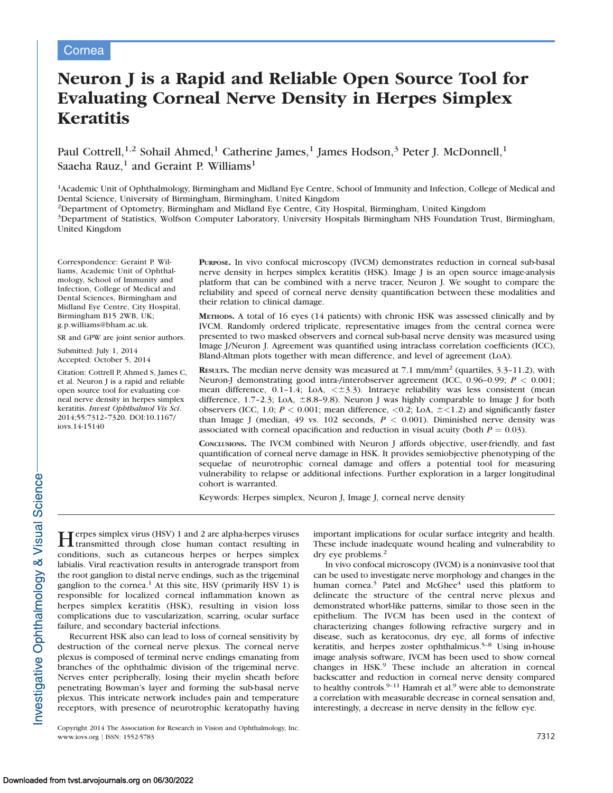# Neuron J is a Rapid and Reliable Open Source Tool for Evaluating Corneal Nerve Density in Herpes Simplex Keratitis

Paul Cottrell,<sup>1,2</sup> Sohail Ahmed,<sup>1</sup> Catherine James,<sup>1</sup> James Hodson,<sup>3</sup> Peter J. McDonnell,<sup>1</sup> Saaeha Rauz,<sup>1</sup> and Geraint P. Williams<sup>1</sup>

1Academic Unit of Ophthalmology, Birmingham and Midland Eye Centre, School of Immunity and Infection, College of Medical and Dental Science, University of Birmingham, Birmingham, United Kingdom

2Department of Optometry, Birmingham and Midland Eye Centre, City Hospital, Birmingham, United Kingdom

3Department of Statistics, Wolfson Computer Laboratory, University Hospitals Birmingham NHS Foundation Trust, Birmingham, United Kingdom

Correspondence: Geraint P. Williams, Academic Unit of Ophthalmology, School of Immunity and Infection, College of Medical and Dental Sciences, Birmingham and Midland Eye Centre, City Hospital, Birmingham B15 2WB, UK; g.p.williams@bham.ac.uk.

SR and GPW are joint senior authors.

Submitted: July 1, 2014 Accepted: October 5, 2014

Citation: Cottrell P, Ahmed S, James C, et al. Neuron J is a rapid and reliable open source tool for evaluating corneal nerve density in herpes simplex keratitis. Invest Ophthalmol Vis Sci. 2014;55:7312–7320. DOI:10.1167/ iovs.14-15140

PURPOSE. In vivo confocal microscopy (IVCM) demonstrates reduction in corneal sub-basal nerve density in herpes simplex keratitis (HSK). Image J is an open source image-analysis platform that can be combined with a nerve tracer, Neuron J. We sought to compare the reliability and speed of corneal nerve density quantification between these modalities and their relation to clinical damage.

METHODS. A total of 16 eyes (14 patients) with chronic HSK was assessed clinically and by IVCM. Randomly ordered triplicate, representative images from the central cornea were presented to two masked observers and corneal sub-basal nerve density was measured using Image J/Neuron J. Agreement was quantified using intraclass correlation coefficients (ICC), Bland-Altman plots together with mean difference, and level of agreement (LoA).

**RESULTS.** The median nerve density was measured at  $7.1 \text{ mm/mm}^2$  (quartiles,  $3.3-11.2$ ), with Neuron-J demonstrating good intra-/interobserver agreement (ICC, 0.96-0.99;  $P < 0.001$ ; mean difference,  $0.1$ -1.4; LoA,  $\lt$  ±3.3). Intraeye reliability was less consistent (mean difference, 1.7–2.3; LoA,  $\pm$ 8.8–9.8). Neuron J was highly comparable to Image J for both observers (ICC, 1.0;  $P < 0.001$ ; mean difference,  $< 0.2$ ; LoA,  $\pm < 1.2$ ) and significantly faster than Image J (median, 49 vs. 102 seconds,  $P < 0.001$ ). Diminished nerve density was associated with corneal opacification and reduction in visual acuity (both  $P = 0.03$ ).

CONCLUSIONS. The IVCM combined with Neuron J affords objective, user-friendly, and fast quantification of corneal nerve damage in HSK. It provides semiobjective phenotyping of the sequelae of neurotrophic corneal damage and offers a potential tool for measuring vulnerability to relapse or additional infections. Further exploration in a larger longitudinal cohort is warranted.

Keywords: Herpes simplex, Neuron J, Image J, corneal nerve density

Herpes simplex virus (HSV) 1 and 2 are alpha-herpes viruses transmitted through close human contact resulting in conditions, such as cutaneous herpes or herpes simplex labialis. Viral reactivation results in anterograde transport from the root ganglion to distal nerve endings, such as the trigeminal ganglion to the cornea.<sup>1</sup> At this site, HSV (primarily HSV 1) is responsible for localized corneal inflammation known as herpes simplex keratitis (HSK), resulting in vision loss complications due to vascularization, scarring, ocular surface failure, and secondary bacterial infections.

Recurrent HSK also can lead to loss of corneal sensitivity by destruction of the corneal nerve plexus. The corneal nerve plexus is composed of terminal nerve endings emanating from branches of the ophthalmic division of the trigeminal nerve. Nerves enter peripherally, losing their myelin sheath before penetrating Bowman's layer and forming the sub-basal nerve plexus. This intricate network includes pain and temperature receptors, with presence of neurotrophic keratopathy having

Copyright 2014 The Association for Research in Vision and Ophthalmology, Inc. www.iovs.org | ISSN: 1552-5783 7312

important implications for ocular surface integrity and health. These include inadequate wound healing and vulnerability to dry eye problems.<sup>2</sup>

In vivo confocal microscopy (IVCM) is a noninvasive tool that can be used to investigate nerve morphology and changes in the human cornea.<sup>3</sup> Patel and McGhee<sup>4</sup> used this platform to delineate the structure of the central nerve plexus and demonstrated whorl-like patterns, similar to those seen in the epithelium. The IVCM has been used in the context of characterizing changes following refractive surgery and in disease, such as keratoconus, dry eye, all forms of infective keratitis, and herpes zoster ophthalmicus.<sup>5-8</sup> Using in-house image analysis software, IVCM has been used to show corneal changes in HSK.<sup>9</sup> These include an alteration in corneal backscatter and reduction in corneal nerve density compared to healthy controls.<sup>9-11</sup> Hamrah et al.<sup>9</sup> were able to demonstrate a correlation with measurable decrease in corneal sensation and, interestingly, a decrease in nerve density in the fellow eye.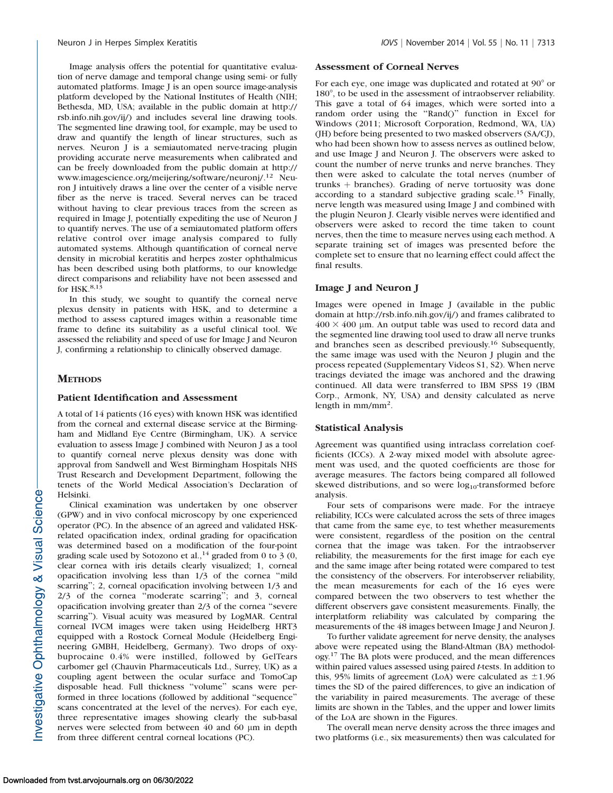Image analysis offers the potential for quantitative evaluation of nerve damage and temporal change using semi- or fully automated platforms. Image J is an open source image-analysis platform developed by the National Institutes of Health (NIH; Bethesda, MD, USA; available in the public domain at http:// rsb.info.nih.gov/ij/) and includes several line drawing tools. The segmented line drawing tool, for example, may be used to draw and quantify the length of linear structures, such as nerves. Neuron J is a semiautomated nerve-tracing plugin providing accurate nerve measurements when calibrated and can be freely downloaded from the public domain at http:// www.imagescience.org/meijering/software/neuronj/.<sup>12</sup> Neuron J intuitively draws a line over the center of a visible nerve fiber as the nerve is traced. Several nerves can be traced without having to clear previous traces from the screen as required in Image J, potentially expediting the use of Neuron J to quantify nerves. The use of a semiautomated platform offers relative control over image analysis compared to fully automated systems. Although quantification of corneal nerve density in microbial keratitis and herpes zoster ophthalmicus has been described using both platforms, to our knowledge direct comparisons and reliability have not been assessed and for HSK. $8,1\overline{3}$ 

In this study, we sought to quantify the corneal nerve plexus density in patients with HSK, and to determine a method to assess captured images within a reasonable time frame to define its suitability as a useful clinical tool. We assessed the reliability and speed of use for Image J and Neuron J, confirming a relationship to clinically observed damage.

# **METHODS**

## Patient Identification and Assessment

A total of 14 patients (16 eyes) with known HSK was identified from the corneal and external disease service at the Birmingham and Midland Eye Centre (Birmingham, UK). A service evaluation to assess Image J combined with Neuron J as a tool to quantify corneal nerve plexus density was done with approval from Sandwell and West Birmingham Hospitals NHS Trust Research and Development Department, following the tenets of the World Medical Association's Declaration of Helsinki.

Clinical examination was undertaken by one observer (GPW) and in vivo confocal microscopy by one experienced operator (PC). In the absence of an agreed and validated HSKrelated opacification index, ordinal grading for opacification was determined based on a modification of the four-point grading scale used by Sotozono et al.,<sup>14</sup> graded from 0 to  $3$  (0, clear cornea with iris details clearly visualized; 1, corneal opacification involving less than 1/3 of the cornea ''mild scarring"; 2, corneal opacification involving between  $1/3$  and 2/3 of the cornea ''moderate scarring''; and 3, corneal opacification involving greater than 2/3 of the cornea ''severe scarring''). Visual acuity was measured by LogMAR. Central corneal IVCM images were taken using Heidelberg HRT3 equipped with a Rostock Corneal Module (Heidelberg Engineering GMBH, Heidelberg, Germany). Two drops of oxybuprocaine 0.4% were instilled, followed by GelTears carbomer gel (Chauvin Pharmaceuticals Ltd., Surrey, UK) as a coupling agent between the ocular surface and TomoCap disposable head. Full thickness ''volume'' scans were performed in three locations (followed by additional ''sequence'' scans concentrated at the level of the nerves). For each eye, three representative images showing clearly the sub-basal nerves were selected from between 40 and 60 µm in depth from three different central corneal locations (PC).

## Assessment of Corneal Nerves

For each eye, one image was duplicated and rotated at 90° or 180°, to be used in the assessment of intraobserver reliability. This gave a total of 64 images, which were sorted into a random order using the ''Rand()'' function in Excel for Windows (2011; Microsoft Corporation, Redmond, WA, UA) (JH) before being presented to two masked observers (SA/CJ), who had been shown how to assess nerves as outlined below, and use Image J and Neuron J. The observers were asked to count the number of nerve trunks and nerve branches. They then were asked to calculate the total nerves (number of trunks  $+$  branches). Grading of nerve tortuosity was done according to a standard subjective grading scale.<sup>15</sup> Finally, nerve length was measured using Image J and combined with the plugin Neuron J. Clearly visible nerves were identified and observers were asked to record the time taken to count nerves, then the time to measure nerves using each method. A separate training set of images was presented before the complete set to ensure that no learning effect could affect the final results.

## Image J and Neuron J

Images were opened in Image J (available in the public domain at http://rsb.info.nih.gov/ij/) and frames calibrated to  $400 \times 400$  µm. An output table was used to record data and the segmented line drawing tool used to draw all nerve trunks and branches seen as described previously.<sup>16</sup> Subsequently, the same image was used with the Neuron J plugin and the process repeated ([Supplementary Videos S1, S2](http://www.iovs.org/content/55/11/7312/suppl/DC1)). When nerve tracings deviated the image was anchored and the drawing continued. All data were transferred to IBM SPSS 19 (IBM Corp., Armonk, NY, USA) and density calculated as nerve length in mm/mm2.

## Statistical Analysis

Agreement was quantified using intraclass correlation coefficients (ICCs). A 2-way mixed model with absolute agreement was used, and the quoted coefficients are those for average measures. The factors being compared all followed skewed distributions, and so were  $log_{10}$ -transformed before analysis.

Four sets of comparisons were made. For the intraeye reliability, ICCs were calculated across the sets of three images that came from the same eye, to test whether measurements were consistent, regardless of the position on the central cornea that the image was taken. For the intraobserver reliability, the measurements for the first image for each eye and the same image after being rotated were compared to test the consistency of the observers. For interobserver reliability, the mean measurements for each of the 16 eyes were compared between the two observers to test whether the different observers gave consistent measurements. Finally, the interplatform reliability was calculated by comparing the measurements of the 48 images between Image J and Neuron J.

To further validate agreement for nerve density, the analyses above were repeated using the Bland-Altman (BA) methodology.17 The BA plots were produced, and the mean differences within paired values assessed using paired t-tests. In addition to this, 95% limits of agreement (LoA) were calculated as  $\pm 1.96$ times the SD of the paired differences, to give an indication of the variability in paired measurements. The average of these limits are shown in the Tables, and the upper and lower limits of the LoA are shown in the Figures.

The overall mean nerve density across the three images and two platforms (i.e., six measurements) then was calculated for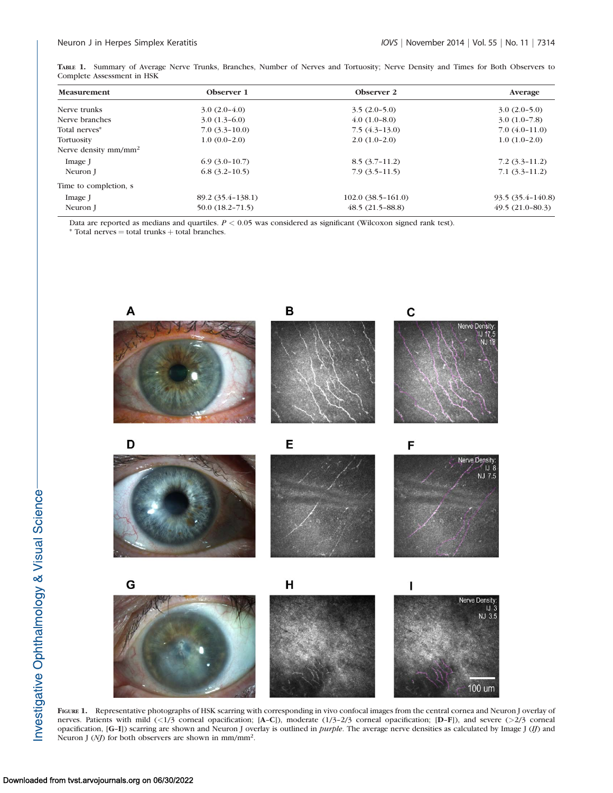TABLE 1. Summary of Average Nerve Trunks, Branches, Number of Nerves and Tortuosity; Nerve Density and Times for Both Observers to Complete Assessment in HSK

| <b>Measurement</b>           | Observer 1          | Observer 2          | Average                |  |
|------------------------------|---------------------|---------------------|------------------------|--|
| Nerve trunks                 | $3.0(2.0-4.0)$      | $3.5(2.0-5.0)$      | $3.0(2.0-5.0)$         |  |
| Nerve branches               | $3.0(1.3-6.0)$      | $(4.0 (1.0 - 8.0))$ | $3.0(1.0-7.8)$         |  |
| Total nerves*                | $7.0(3.3-10.0)$     | $7.5(4.3-13.0)$     | $7.0(4.0-11.0)$        |  |
| $1.0(0.0-2.0)$<br>Tortuosity |                     | $2.0(1.0-2.0)$      | $1.0(1.0-2.0)$         |  |
| Nerve density $mm/mm2$       |                     |                     |                        |  |
| Image J                      | $6.9(3.0-10.7)$     | $8.5(3.7-11.2)$     | $7.2(3.3-11.2)$        |  |
| Neuron J                     | $6.8(3.2-10.5)$     | $7.9(3.5-11.5)$     | $7.1 (3.3 - 11.2)$     |  |
| Time to completion, s        |                     |                     |                        |  |
| Image J                      | 89.2 (35.4–138.1)   | $102.0(38.5-161.0)$ | $93.5(35.4 - 140.8)$   |  |
| Neuron J                     | $50.0(18.2 - 71.5)$ | $48.5(21.5-88.8)$   | $(49.5 (21.0 - 80.3))$ |  |

Data are reported as medians and quartiles.  $P < 0.05$  was considered as significant (Wilcoxon signed rank test).  $*$  Total nerves  $=$  total trunks  $+$  total branches.



FIGURE 1. Representative photographs of HSK scarring with corresponding in vivo confocal images from the central cornea and Neuron J overlay of nerves. Patients with mild (<1/3 corneal opacification; [A-C]), moderate (1/3-2/3 corneal opacification; [D-F]), and severe (>2/3 corneal opacification, [G-I]) scarring are shown and Neuron J overlay is outlined in purple. The average nerve densities as calculated by Image J (IJ) and Neuron J (NJ) for both observers are shown in mm/mm2.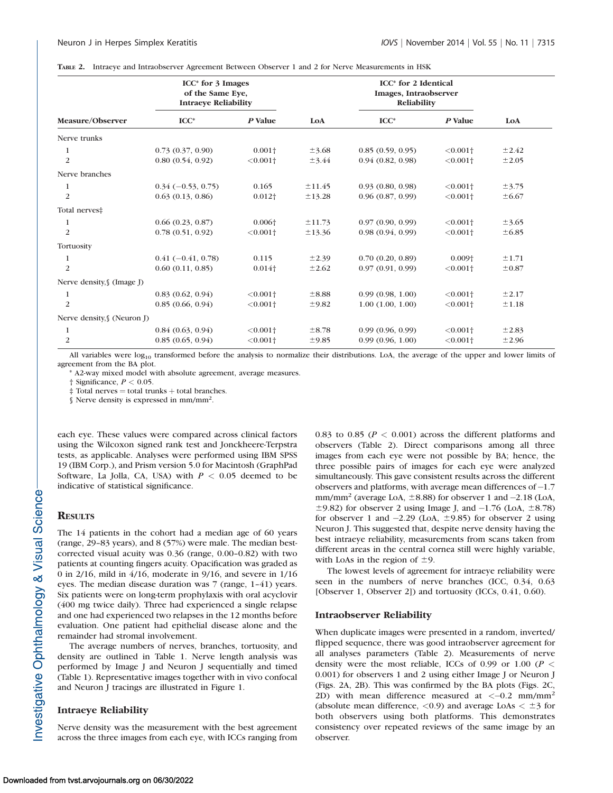|  | TABLE 2. Intracye and Intraobserver Agreement Between Observer 1 and 2 for Nerve Measurements in HSK |  |  |  |  |  |  |  |
|--|------------------------------------------------------------------------------------------------------|--|--|--|--|--|--|--|
|--|------------------------------------------------------------------------------------------------------|--|--|--|--|--|--|--|

|                             | ICC* for 3 Images<br>of the Same Eye,<br><b>Intraeve Reliability</b> |                        |            | ICC* for 2 Identical<br>Images, Intraobserver<br>Reliability |                        |            |
|-----------------------------|----------------------------------------------------------------------|------------------------|------------|--------------------------------------------------------------|------------------------|------------|
| Measure/Observer            | $\mathbf{ICC}^*$                                                     | P Value                | LoA        | $\mathbf{ICC}^*$                                             | P Value                | LOA        |
| Nerve trunks                |                                                                      |                        |            |                                                              |                        |            |
| 1                           | 0.73(0.37, 0.90)                                                     | $0.001\dagger$         | $\pm$ 3.68 | 0.85(0.59, 0.95)                                             | $< 0.001$ <sup>+</sup> | $\pm 2.42$ |
| 2                           | 0.80(0.54, 0.92)                                                     | $< 0.001$ <sup>+</sup> | ±3.44      | 0.94(0.82, 0.98)                                             | $< 0.001$ <sup>+</sup> | ±2.05      |
| Nerve branches              |                                                                      |                        |            |                                                              |                        |            |
| 1                           | $0.34(-0.53, 0.75)$                                                  | 0.165                  | ±11.45     | 0.93(0.80, 0.98)                                             | $< 0.001$ <sup>+</sup> | ±3.75      |
| 2                           | 0.63(0.13, 0.86)                                                     | $0.012\dagger$         | ±13.28     | 0.96(0.87, 0.99)                                             | $< 0.001$ <sup>+</sup> | ±6.67      |
| Total nerves‡               |                                                                      |                        |            |                                                              |                        |            |
| 1                           | 0.66(0.23, 0.87)                                                     | $0.006\dagger$         | ±11.73     | 0.97(0.90, 0.99)                                             | $< 0.001$ <sup>+</sup> | $\pm$ 3.65 |
| 2                           | 0.78(0.51, 0.92)                                                     | $< 0.001$ <sup>+</sup> | ±13.36     | 0.98(0.94, 0.99)                                             | $< 0.001$ <sup>+</sup> | ±6.85      |
| Tortuosity                  |                                                                      |                        |            |                                                              |                        |            |
| 1                           | $0.41(-0.41, 0.78)$                                                  | 0.115                  | ±2.39      | 0.70(0.20, 0.89)                                             | $0.009+$               | ±1.71      |
| 2                           | 0.60(0.11, 0.85)                                                     | $0.014\dagger$         | ±2.62      | 0.97(0.91, 0.99)                                             | $< 0.001$ <sup>+</sup> | ±0.87      |
| Nerve density, § (Image J)  |                                                                      |                        |            |                                                              |                        |            |
| 1                           | 0.83(0.62, 0.94)                                                     | $< 0.001$ <sup>+</sup> | $\pm 8.88$ | 0.99(0.98, 1.00)                                             | $< 0.001$ <sup>+</sup> | ±2.17      |
| 2                           | 0.85(0.66, 0.94)                                                     | $< 0.001$ <sup>+</sup> | ±9.82      | 1.00(1.00, 1.00)                                             | $< 0.001$ <sup>+</sup> | ±1.18      |
| Nerve density, § (Neuron J) |                                                                      |                        |            |                                                              |                        |            |
| 1                           | 0.84(0.63, 0.94)                                                     | $< 0.001$ <sup>+</sup> | $\pm 8.78$ | 0.99(0.96, 0.99)                                             | $< 0.001$ <sup>+</sup> | $\pm 2.83$ |
| 2                           | 0.85(0.65, 0.94)                                                     | $< 0.001$ <sup>+</sup> | ±9.85      | 0.99(0.96, 1.00)                                             | $< 0.001$ <sup>+</sup> | ±2.96      |

All variables were  $log_{10}$  transformed before the analysis to normalize their distributions. LoA, the average of the upper and lower limits of agreement from the BA plot.

\* A2-way mixed model with absolute agreement, average measures.

† Significance,  $P < 0.05$ .

 $\dagger$  Total nerves = total trunks + total branches.

§ Nerve density is expressed in mm/mm2.

each eye. These values were compared across clinical factors using the Wilcoxon signed rank test and Jonckheere-Terpstra tests, as applicable. Analyses were performed using IBM SPSS 19 (IBM Corp.), and Prism version 5.0 for Macintosh (GraphPad Software, La Jolla, CA, USA) with  $P < 0.05$  deemed to be indicative of statistical significance.

# **RESULTS**

The 14 patients in the cohort had a median age of 60 years (range, 29–83 years), and 8 (57%) were male. The median bestcorrected visual acuity was 0.36 (range, 0.00–0.82) with two patients at counting fingers acuity. Opacification was graded as 0 in 2/16, mild in 4/16, moderate in 9/16, and severe in 1/16 eyes. The median disease duration was 7 (range, 1–41) years. Six patients were on long-term prophylaxis with oral acyclovir (400 mg twice daily). Three had experienced a single relapse and one had experienced two relapses in the 12 months before evaluation. One patient had epithelial disease alone and the remainder had stromal involvement.

The average numbers of nerves, branches, tortuosity, and density are outlined in Table 1. Nerve length analysis was performed by Image J and Neuron J sequentially and timed (Table 1). Representative images together with in vivo confocal and Neuron J tracings are illustrated in Figure 1.

## Intraeye Reliability

Nerve density was the measurement with the best agreement across the three images from each eye, with ICCs ranging from 0.83 to 0.85 ( $P < 0.001$ ) across the different platforms and observers (Table 2). Direct comparisons among all three images from each eye were not possible by BA; hence, the three possible pairs of images for each eye were analyzed simultaneously. This gave consistent results across the different observers and platforms, with average mean differences of  $-1.7$ mm/mm<sup>2</sup> (average LoA,  $\pm$ 8.88) for observer 1 and  $-2.18$  (LoA,  $\pm$ 9.82) for observer 2 using Image J, and  $-1.76$  (LoA,  $\pm$ 8.78) for observer 1 and  $-2.29$  (LoA,  $\pm$ 9.85) for observer 2 using Neuron J. This suggested that, despite nerve density having the best intraeye reliability, measurements from scans taken from different areas in the central cornea still were highly variable, with LoAs in the region of  $\pm$ 9.

The lowest levels of agreement for intraeye reliability were seen in the numbers of nerve branches (ICC, 0.34, 0.63 [Observer 1, Observer 2]) and tortuosity (ICCs, 0.41, 0.60).

## Intraobserver Reliability

When duplicate images were presented in a random, inverted/ flipped sequence, there was good intraobserver agreement for all analyses parameters (Table 2). Measurements of nerve density were the most reliable, ICCs of 0.99 or 1.00 ( $P <$ 0.001) for observers 1 and 2 using either Image J or Neuron J (Figs. 2A, 2B). This was confirmed by the BA plots (Figs. 2C, 2D) with mean difference measured at  $<-0.2$  mm/mm<sup>2</sup> (absolute mean difference,  $\langle 0.9 \rangle$  and average LoAs  $\langle \pm 3 \rangle$  for both observers using both platforms. This demonstrates consistency over repeated reviews of the same image by an observer.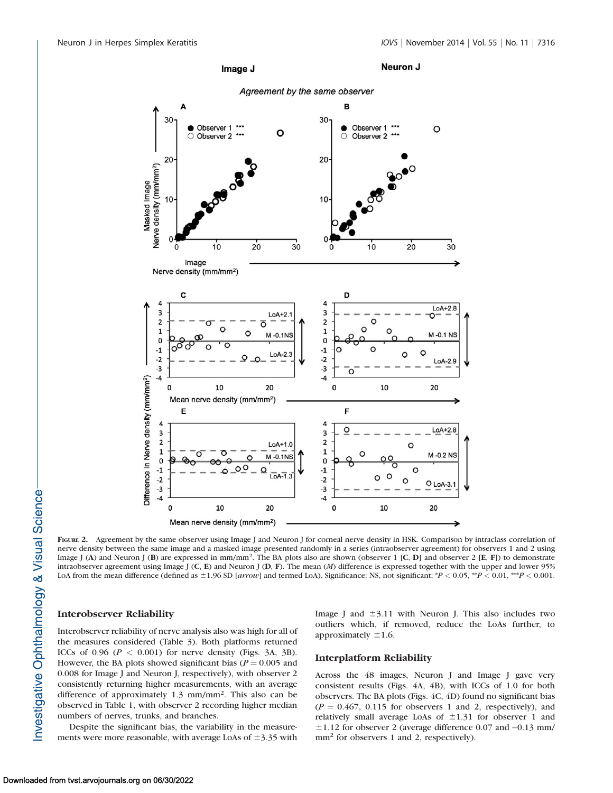

Image J

Neuron J

FIGURE 2. Agreement by the same observer using Image J and Neuron J for corneal nerve density in HSK. Comparison by intraclass correlation of nerve density between the same image and a masked image presented randomly in a series (intraobserver agreement) for observers 1 and 2 using Image J (A) and Neuron J (B) are expressed in mm/mm<sup>2</sup>. The BA plots also are shown (observer 1 [C, D] and observer 2 [E, F]) to demonstrate intraobserver agreement using Image J (C, E) and Neuron J (D, F). The mean (M) difference is expressed together with the upper and lower 95% LoA from the mean difference (defined as  $\pm 1.96$  SD [arrow] and termed LoA). Significance: NS, not significant;  ${}^*P$  < 0.05,  ${}^{**P}$  < 0.01,  ${}^{**P}$  < 0.001.

## Interobserver Reliability

Interobserver reliability of nerve analysis also was high for all of the measures considered (Table 3). Both platforms returned ICCs of 0.96 ( $P < 0.001$ ) for nerve density (Figs. 3A, 3B). However, the BA plots showed significant bias ( $P = 0.005$  and 0.008 for Image J and Neuron J, respectively), with observer 2 consistently returning higher measurements, with an average difference of approximately 1.3 mm/mm2. This also can be observed in Table 1, with observer 2 recording higher median numbers of nerves, trunks, and branches.

Despite the significant bias, the variability in the measurements were more reasonable, with average LoAs of  $\pm$ 3.35 with Image J and  $\pm 3.11$  with Neuron J. This also includes two outliers which, if removed, reduce the LoAs further, to approximately  $\pm 1.6$ .

## Interplatform Reliability

Across the 48 images, Neuron J and Image J gave very consistent results (Figs. 4A, 4B), with ICCs of 1.0 for both observers. The BA plots (Figs. 4C, 4D) found no significant bias  $(P = 0.467, 0.115$  for observers 1 and 2, respectively), and relatively small average LoAs of  $\pm 1.31$  for observer 1 and  $\pm$ 1.12 for observer 2 (average difference 0.07 and -0.13 mm/ mm<sup>2</sup> for observers 1 and 2, respectively).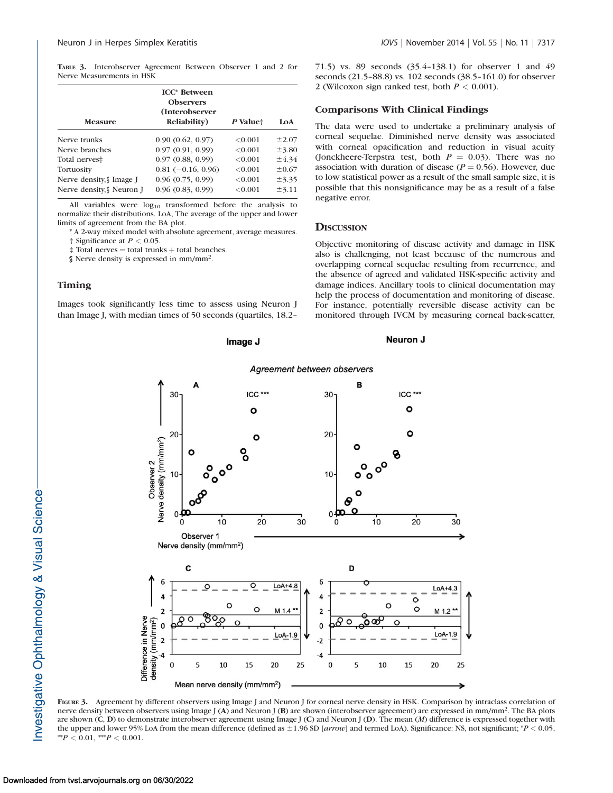TABLE 3. Interobserver Agreement Between Observer 1 and 2 for Nerve Measurements in HSK

| <b>Measure</b>            | <b>ICC*</b> Between<br><b>Observers</b><br><i><b>Interobserver</b></i><br><b>Reliability</b> ) | P Valuet | LOA        |  |
|---------------------------|------------------------------------------------------------------------------------------------|----------|------------|--|
| Nerve trunks              | 0.90(0.62, 0.97)                                                                               | < 0.001  | $\pm 2.07$ |  |
| Nerve branches            | 0.97(0.91, 0.99)                                                                               | < 0.001  | ±3.80      |  |
| Total nerves <sup>#</sup> | 0.97(0.88, 0.99)                                                                               | < 0.001  | ±4.34      |  |
| Tortuosity                | $0.81(-0.16, 0.96)$                                                                            | < 0.001  | $\pm 0.67$ |  |
| Nerve density, Image J    | 0.96(0.75, 0.99)                                                                               | < 0.001  | ±3.35      |  |
| Nerve density, Neuron J   | 0.96(0.83, 0.99)                                                                               | < 0.001  | ±3.11      |  |

All variables were  $log_{10}$  transformed before the analysis to normalize their distributions. LoA, The average of the upper and lower limits of agreement from the BA plot.

\* A 2-way mixed model with absolute agreement, average measures.

† Significance at  $P < 0.05$ .

 $\dagger$  Total nerves = total trunks + total branches.

§ Nerve density is expressed in mm/mm2.

## Timing

Images took significantly less time to assess using Neuron J than Image J, with median times of 50 seconds (quartiles, 18.2–

# Image J

Neuron J in Herpes Simplex Keratitis IOVS in November 2014 | Vol. 55 | No. 11 | 7317

71.5) vs. 89 seconds (35.4–138.1) for observer 1 and 49 seconds (21.5–88.8) vs. 102 seconds (38.5–161.0) for observer 2 (Wilcoxon sign ranked test, both  $P < 0.001$ ).

#### Comparisons With Clinical Findings

The data were used to undertake a preliminary analysis of corneal sequelae. Diminished nerve density was associated with corneal opacification and reduction in visual acuity (Jonckheere-Terpstra test, both  $P = 0.03$ ). There was no association with duration of disease ( $P = 0.56$ ). However, due to low statistical power as a result of the small sample size, it is possible that this nonsignificance may be as a result of a false negative error.

#### **DISCUSSION**

Objective monitoring of disease activity and damage in HSK also is challenging, not least because of the numerous and overlapping corneal sequelae resulting from recurrence, and the absence of agreed and validated HSK-specific activity and damage indices. Ancillary tools to clinical documentation may help the process of documentation and monitoring of disease. For instance, potentially reversible disease activity can be monitored through IVCM by measuring corneal back-scatter,

Neuron J



FIGURE 3. Agreement by different observers using Image J and Neuron J for corneal nerve density in HSK. Comparison by intraclass correlation of nerve density between observers using Image J (A) and Neuron J (B) are shown (interobserver agreement) are expressed in mm/mm2. The BA plots are shown (C, D) to demonstrate interobserver agreement using Image J (C) and Neuron J (D). The mean (M) difference is expressed together with the upper and lower 95% LoA from the mean difference (defined as  $\pm 1.96$  SD [arrow] and termed LoA). Significance: NS, not significant; \*P < 0.05, \*\* $P < 0.01,$  \*\*\* $P < 0.001$ .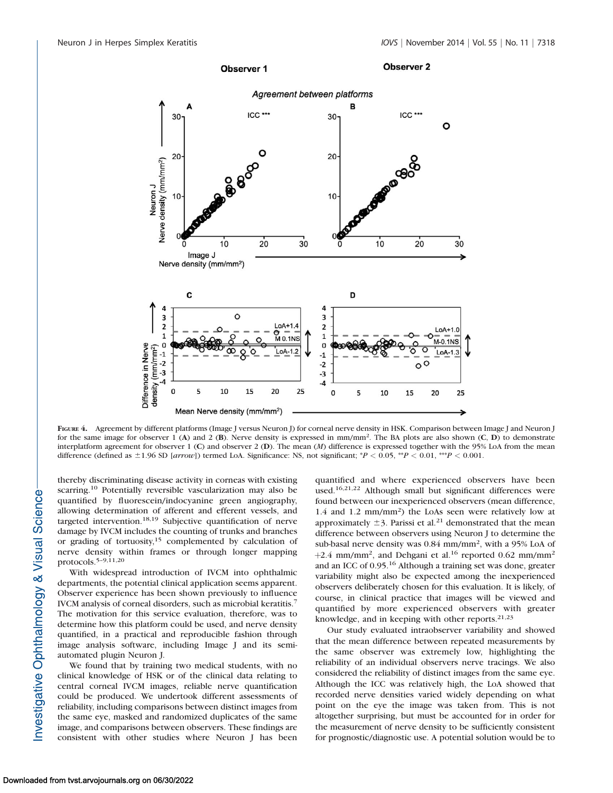**Observer 2** 



**Observer 1** 

FIGURE 4. Agreement by different platforms (Image J versus Neuron J) for corneal nerve density in HSK. Comparison between Image J and Neuron J for the same image for observer 1 (A) and 2 (B). Nerve density is expressed in mm/mm2. The BA plots are also shown (C, D) to demonstrate interplatform agreement for observer 1 (C) and observer 2 (D). The mean (M) difference is expressed together with the 95% LoA from the mean difference (defined as  $\pm 1.96$  SD [arrow]) termed LoA. Significance: NS, not significant; \*P < 0.05, \*\*P < 0.01, \*\*\*P < 0.001.

thereby discriminating disease activity in corneas with existing scarring.<sup>10</sup> Potentially reversible vascularization may also be quantified by fluorescein/indocyanine green angiography, allowing determination of afferent and efferent vessels, and targeted intervention.<sup>18,19</sup> Subjective quantification of nerve damage by IVCM includes the counting of trunks and branches or grading of tortuosity,<sup>15</sup> complemented by calculation of nerve density within frames or through longer mapping protocols.5–9,11,20

With widespread introduction of IVCM into ophthalmic departments, the potential clinical application seems apparent. Observer experience has been shown previously to influence IVCM analysis of corneal disorders, such as microbial keratitis.<sup>7</sup> The motivation for this service evaluation, therefore, was to determine how this platform could be used, and nerve density quantified, in a practical and reproducible fashion through image analysis software, including Image J and its semiautomated plugin Neuron J.

We found that by training two medical students, with no clinical knowledge of HSK or of the clinical data relating to central corneal IVCM images, reliable nerve quantification could be produced. We undertook different assessments of reliability, including comparisons between distinct images from the same eye, masked and randomized duplicates of the same image, and comparisons between observers. These findings are consistent with other studies where Neuron J has been quantified and where experienced observers have been used.16,21,22 Although small but significant differences were found between our inexperienced observers (mean difference, 1.4 and 1.2 mm/mm2) the LoAs seen were relatively low at approximately  $\pm$ 3. Parissi et al.<sup>21</sup> demonstrated that the mean difference between observers using Neuron J to determine the sub-basal nerve density was 0.84 mm/mm2, with a 95% LoA of  $+2.4$  mm/mm<sup>2</sup>, and Dehgani et al.<sup>16</sup> reported 0.62 mm/mm<sup>2</sup> and an ICC of 0.95.16 Although a training set was done, greater variability might also be expected among the inexperienced observers deliberately chosen for this evaluation. It is likely, of course, in clinical practice that images will be viewed and quantified by more experienced observers with greater knowledge, and in keeping with other reports. $21,23$ 

Our study evaluated intraobserver variability and showed that the mean difference between repeated measurements by the same observer was extremely low, highlighting the reliability of an individual observers nerve tracings. We also considered the reliability of distinct images from the same eye. Although the ICC was relatively high, the LoA showed that recorded nerve densities varied widely depending on what point on the eye the image was taken from. This is not altogether surprising, but must be accounted for in order for the measurement of nerve density to be sufficiently consistent for prognostic/diagnostic use. A potential solution would be to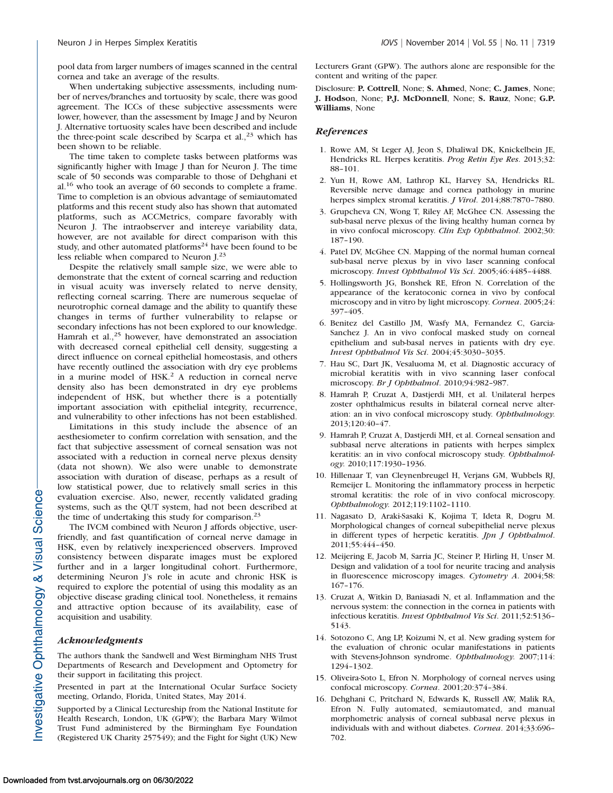pool data from larger numbers of images scanned in the central cornea and take an average of the results.

When undertaking subjective assessments, including number of nerves/branches and tortuosity by scale, there was good agreement. The ICCs of these subjective assessments were lower, however, than the assessment by Image J and by Neuron J. Alternative tortuosity scales have been described and include the three-point scale described by Scarpa et al., $^{23}$  which has been shown to be reliable.

The time taken to complete tasks between platforms was significantly higher with Image J than for Neuron J. The time scale of 50 seconds was comparable to those of Dehghani et al.<sup>16</sup> who took an average of 60 seconds to complete a frame. Time to completion is an obvious advantage of semiautomated platforms and this recent study also has shown that automated platforms, such as ACCMetrics, compare favorably with Neuron J. The intraobserver and intereye variability data, however, are not available for direct comparison with this study, and other automated platforms<sup>24</sup> have been found to be less reliable when compared to Neuron  $I<sup>23</sup>$ 

Despite the relatively small sample size, we were able to demonstrate that the extent of corneal scarring and reduction in visual acuity was inversely related to nerve density, reflecting corneal scarring. There are numerous sequelae of neurotrophic corneal damage and the ability to quantify these changes in terms of further vulnerability to relapse or secondary infections has not been explored to our knowledge. Hamrah et al.,<sup>25</sup> however, have demonstrated an association with decreased corneal epithelial cell density, suggesting a direct influence on corneal epithelial homeostasis, and others have recently outlined the association with dry eye problems in a murine model of  $HSK<sup>2</sup>$ . A reduction in corneal nerve density also has been demonstrated in dry eye problems independent of HSK, but whether there is a potentially important association with epithelial integrity, recurrence, and vulnerability to other infections has not been established.

Limitations in this study include the absence of an aesthesiometer to confirm correlation with sensation, and the fact that subjective assessment of corneal sensation was not associated with a reduction in corneal nerve plexus density (data not shown). We also were unable to demonstrate association with duration of disease, perhaps as a result of low statistical power, due to relatively small series in this evaluation exercise. Also, newer, recently validated grading systems, such as the QUT system, had not been described at the time of undertaking this study for comparison.<sup>23</sup>

The IVCM combined with Neuron J affords objective, userfriendly, and fast quantification of corneal nerve damage in HSK, even by relatively inexperienced observers. Improved consistency between disparate images must be explored further and in a larger longitudinal cohort. Furthermore, determining Neuron J's role in acute and chronic HSK is required to explore the potential of using this modality as an objective disease grading clinical tool. Nonetheless, it remains and attractive option because of its availability, ease of acquisition and usability.

#### Acknowledgments

The authors thank the Sandwell and West Birmingham NHS Trust Departments of Research and Development and Optometry for their support in facilitating this project.

Presented in part at the International Ocular Surface Society meeting, Orlando, Florida, United States, May 2014.

Supported by a Clinical Lectureship from the National Institute for Health Research, London, UK (GPW); the Barbara Mary Wilmot Trust Fund administered by the Birmingham Eye Foundation (Registered UK Charity 257549); and the Fight for Sight (UK) New Lecturers Grant (GPW). The authors alone are responsible for the content and writing of the paper.

Disclosure: P. Cottrell, None; S. Ahmed, None; C. James, None; J. Hodson, None; P.J. McDonnell, None; S. Rauz, None; G.P. Williams, None

#### References

- 1. Rowe AM, St Leger AJ, Jeon S, Dhaliwal DK, Knickelbein JE, Hendricks RL. Herpes keratitis. Prog Retin Eye Res. 2013;32: 88–101.
- 2. Yun H, Rowe AM, Lathrop KL, Harvey SA, Hendricks RL. Reversible nerve damage and cornea pathology in murine herpes simplex stromal keratitis. J Virol. 2014;88:7870-7880.
- 3. Grupcheva CN, Wong T, Riley AF, McGhee CN. Assessing the sub-basal nerve plexus of the living healthy human cornea by in vivo confocal microscopy. Clin Exp Ophthalmol. 2002;30: 187–190.
- 4. Patel DV, McGhee CN. Mapping of the normal human corneal sub-basal nerve plexus by in vivo laser scanning confocal microscopy. Invest Ophthalmol Vis Sci. 2005;46:4485–4488.
- 5. Hollingsworth JG, Bonshek RE, Efron N. Correlation of the appearance of the keratoconic cornea in vivo by confocal microscopy and in vitro by light microscopy. Cornea. 2005;24: 397–405.
- 6. Benitez del Castillo JM, Wasfy MA, Fernandez C, Garcia-Sanchez J. An in vivo confocal masked study on corneal epithelium and sub-basal nerves in patients with dry eye. Invest Ophthalmol Vis Sci. 2004;45:3030–3035.
- 7. Hau SC, Dart JK, Vesaluoma M, et al. Diagnostic accuracy of microbial keratitis with in vivo scanning laser confocal microscopy. Br J Ophthalmol. 2010;94:982–987.
- 8. Hamrah P, Cruzat A, Dastjerdi MH, et al. Unilateral herpes zoster ophthalmicus results in bilateral corneal nerve alteration: an in vivo confocal microscopy study. Ophthalmology. 2013;120:40–47.
- 9. Hamrah P, Cruzat A, Dastjerdi MH, et al. Corneal sensation and subbasal nerve alterations in patients with herpes simplex keratitis: an in vivo confocal microscopy study. Ophthalmology. 2010;117:1930–1936.
- 10. Hillenaar T, van Cleynenbreugel H, Verjans GM, Wubbels RJ, Remeijer L. Monitoring the inflammatory process in herpetic stromal keratitis: the role of in vivo confocal microscopy. Ophthalmology. 2012;119:1102–1110.
- 11. Nagasato D, Araki-Sasaki K, Kojima T, Ideta R, Dogru M. Morphological changes of corneal subepithelial nerve plexus in different types of herpetic keratitis. Jpn J Ophthalmol. 2011;55:444–450.
- 12. Meijering E, Jacob M, Sarria JC, Steiner P, Hirling H, Unser M. Design and validation of a tool for neurite tracing and analysis in fluorescence microscopy images. Cytometry A. 2004;58: 167–176.
- 13. Cruzat A, Witkin D, Baniasadi N, et al. Inflammation and the nervous system: the connection in the cornea in patients with infectious keratitis. Invest Ophthalmol Vis Sci. 2011;52:5136– 5143.
- 14. Sotozono C, Ang LP, Koizumi N, et al. New grading system for the evaluation of chronic ocular manifestations in patients with Stevens-Johnson syndrome. Ophthalmology. 2007;114: 1294–1302.
- 15. Oliveira-Soto L, Efron N. Morphology of corneal nerves using confocal microscopy. Cornea. 2001;20:374–384.
- 16. Dehghani C, Pritchard N, Edwards K, Russell AW, Malik RA, Efron N. Fully automated, semiautomated, and manual morphometric analysis of corneal subbasal nerve plexus in individuals with and without diabetes. Cornea. 2014;33:696– 702.